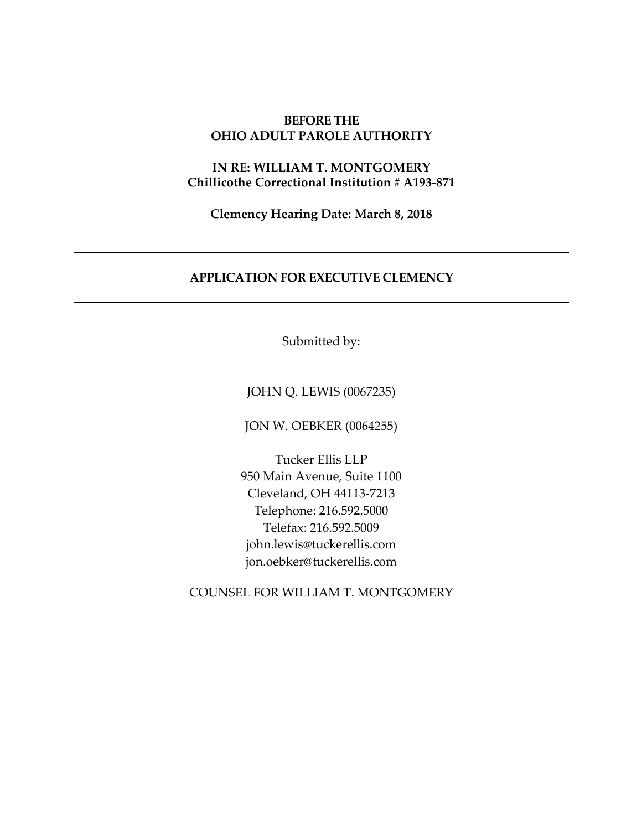# **BEFORE THE OHIO ADULT PAROLE AUTHORITY**

# **IN RE: WILLIAM T. MONTGOMERY Chillicothe Correctional Institution # A193‐871**

**Clemency Hearing Date: March 8, 2018**

# **APPLICATION FOR EXECUTIVE CLEMENCY**

Submitted by:

JOHN Q. LEWIS (0067235)

JON W. OEBKER (0064255)

Tucker Ellis LLP 950 Main Avenue, Suite 1100 Cleveland, OH 44113‐7213 Telephone: 216.592.5000 Telefax: 216.592.5009 john.lewis@tuckerellis.com jon.oebker@tuckerellis.com

COUNSEL FOR WILLIAM T. MONTGOMERY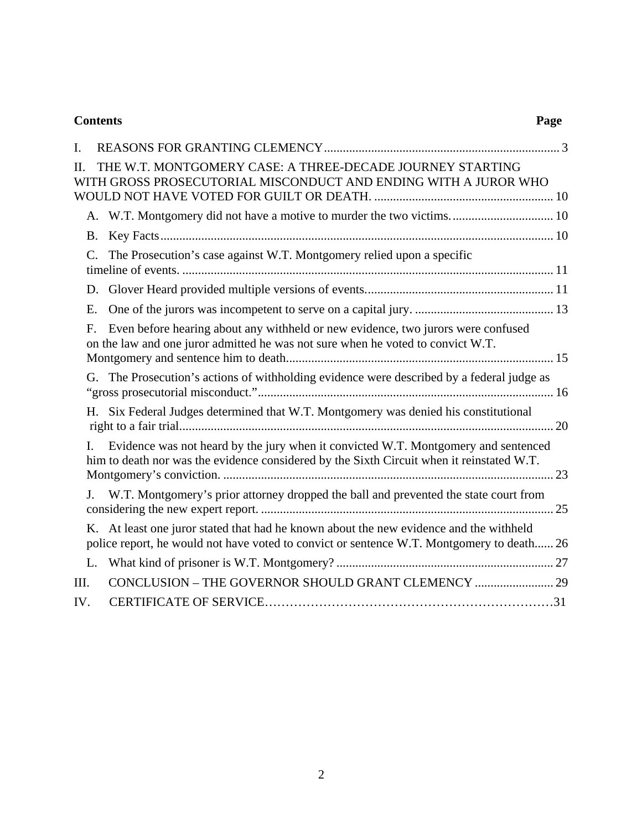| <b>Contents</b> | Page |
|-----------------|------|
|-----------------|------|

| L.      |                                                                                                                                                                                     |  |
|---------|-------------------------------------------------------------------------------------------------------------------------------------------------------------------------------------|--|
| $\Pi$ . | THE W.T. MONTGOMERY CASE: A THREE-DECADE JOURNEY STARTING<br>WITH GROSS PROSECUTORIAL MISCONDUCT AND ENDING WITH A JUROR WHO                                                        |  |
|         | A. W.T. Montgomery did not have a motive to murder the two victims 10                                                                                                               |  |
|         | <b>B.</b>                                                                                                                                                                           |  |
|         | The Prosecution's case against W.T. Montgomery relied upon a specific<br>$C_{\cdot}$                                                                                                |  |
|         |                                                                                                                                                                                     |  |
|         | E.                                                                                                                                                                                  |  |
|         | Even before hearing about any withheld or new evidence, two jurors were confused<br>F.<br>on the law and one juror admitted he was not sure when he voted to convict W.T.           |  |
|         | G. The Prosecution's actions of withholding evidence were described by a federal judge as                                                                                           |  |
|         | H. Six Federal Judges determined that W.T. Montgomery was denied his constitutional                                                                                                 |  |
| L.      | Evidence was not heard by the jury when it convicted W.T. Montgomery and sentenced<br>him to death nor was the evidence considered by the Sixth Circuit when it reinstated W.T.     |  |
| J.      | W.T. Montgomery's prior attorney dropped the ball and prevented the state court from                                                                                                |  |
|         | K. At least one juror stated that had he known about the new evidence and the withheld<br>police report, he would not have voted to convict or sentence W.T. Montgomery to death 26 |  |
|         |                                                                                                                                                                                     |  |
| III.    |                                                                                                                                                                                     |  |
| IV.     |                                                                                                                                                                                     |  |
|         |                                                                                                                                                                                     |  |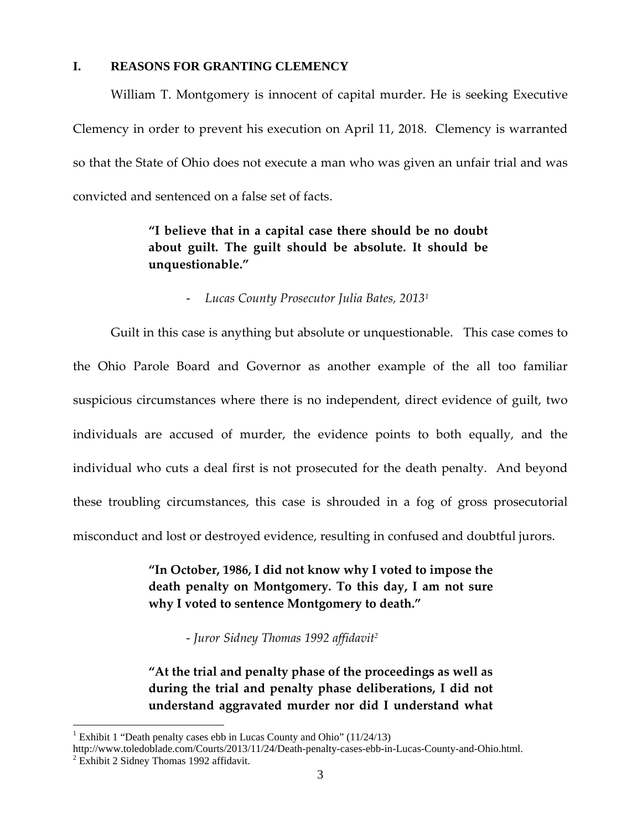### **I. REASONS FOR GRANTING CLEMENCY**

William T. Montgomery is innocent of capital murder. He is seeking Executive Clemency in order to prevent his execution on April 11, 2018. Clemency is warranted so that the State of Ohio does not execute a man who was given an unfair trial and was convicted and sentenced on a false set of facts.

# **"I believe that in a capital case there should be no doubt about guilt. The guilt should be absolute. It should be unquestionable."**

Guilt in this case is anything but absolute or unquestionable. This case comes to the Ohio Parole Board and Governor as another example of the all too familiar suspicious circumstances where there is no independent, direct evidence of guilt, two individuals are accused of murder, the evidence points to both equally, and the individual who cuts a deal first is not prosecuted for the death penalty. And beyond these troubling circumstances, this case is shrouded in a fog of gross prosecutorial misconduct and lost or destroyed evidence, resulting in confused and doubtful jurors.

> **"In October, 1986, I did not know why I voted to impose the death penalty on Montgomery. To this day, I am not sure why I voted to sentence Montgomery to death."**

> > ‐ *Juror Sidney Thomas 1992 affidavit2*

**"At the trial and penalty phase of the proceedings as well as during the trial and penalty phase deliberations, I did not understand aggravated murder nor did I understand what**

<sup>‐</sup> *Lucas County Prosecutor Julia Bates, 20131*

<sup>&</sup>lt;sup>1</sup> Exhibit 1 "Death penalty cases ebb in Lucas County and Ohio"  $(11/24/13)$ 

http://www.toledoblade.com/Courts/2013/11/24/Death-penalty-cases-ebb-in-Lucas-County-and-Ohio.html. 2  $2$  Exhibit 2 Sidney Thomas 1992 affidavit.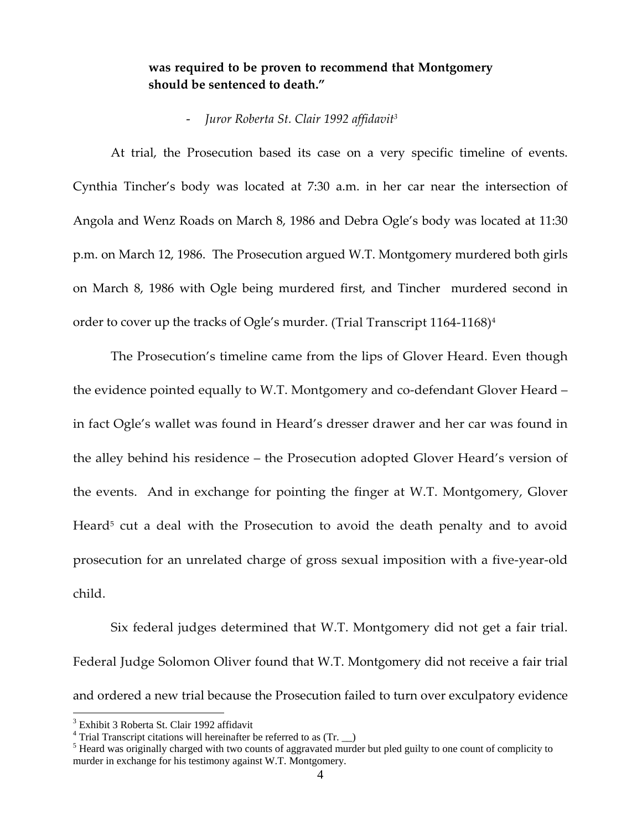# **was required to be proven to recommend that Montgomery should be sentenced to death."**

#### ‐ *Juror Roberta St. Clair 1992 affidavit3*

At trial, the Prosecution based its case on a very specific timeline of events. Cynthia Tincher's body was located at 7:30 a.m. in her car near the intersection of Angola and Wenz Roads on March 8, 1986 and Debra Ogle's body was located at 11:30 p.m. on March 12, 1986. The Prosecution argued W.T. Montgomery murdered both girls on March 8, 1986 with Ogle being murdered first, and Tincher murdered second in order to cover up the tracks of Ogle's murder. (Trial Transcript 1164-1168)<sup>4</sup>

The Prosecution's timeline came from the lips of Glover Heard. Even though the evidence pointed equally to W.T. Montgomery and co-defendant Glover Heard in fact Ogle's wallet was found in Heard's dresser drawer and her car was found in the alley behind his residence – the Prosecution adopted Glover Heard's version of the events. And in exchange for pointing the finger at W.T. Montgomery, Glover Heard<sup>5</sup> cut a deal with the Prosecution to avoid the death penalty and to avoid prosecution for an unrelated charge of gross sexual imposition with a five‐year‐old child.

Six federal judges determined that W.T. Montgomery did not get a fair trial. Federal Judge Solomon Oliver found that W.T. Montgomery did not receive a fair trial and ordered a new trial because the Prosecution failed to turn over exculpatory evidence

<sup>3</sup> Exhibit 3 Roberta St. Clair 1992 affidavit

<sup>&</sup>lt;sup>4</sup> Trial Transcript citations will hereinafter be referred to as  $(Tr, \_)$ 

 $<sup>5</sup>$  Heard was originally charged with two counts of aggravated murder but pled guilty to one count of complicity to</sup> murder in exchange for his testimony against W.T. Montgomery.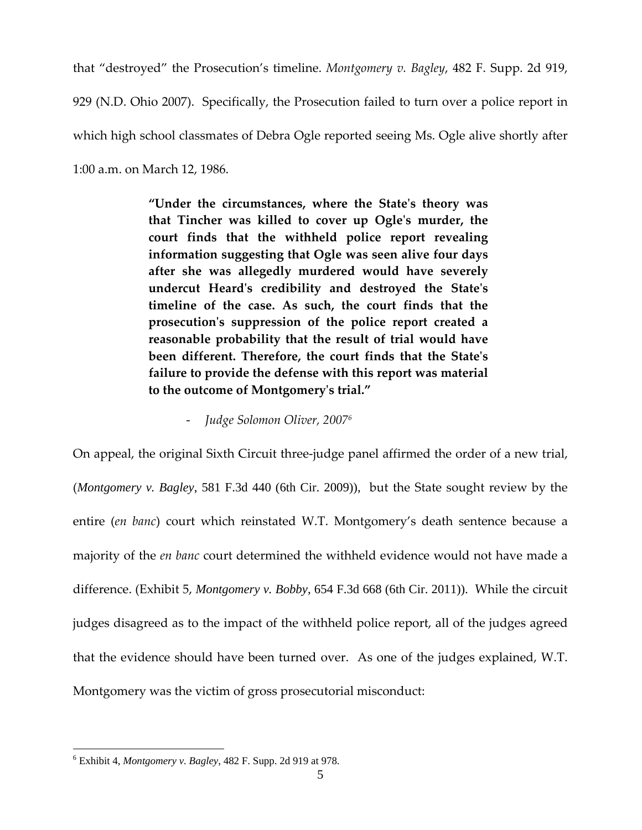that "destroyed" the Prosecution's timeline. *Montgomery v. Bagley*, 482 F. Supp. 2d 919, 929 (N.D. Ohio 2007). Specifically, the Prosecution failed to turn over a police report in which high school classmates of Debra Ogle reported seeing Ms. Ogle alive shortly after 1:00 a.m. on March 12, 1986.

> **"Under the circumstances, where the Stateʹs theory was that Tincher was killed to cover up Ogleʹs murder, the court finds that the withheld police report revealing information suggesting that Ogle was seen alive four days after she was allegedly murdered would have severely undercut Heardʹs credibility and destroyed the Stateʹs timeline of the case. As such, the court finds that the prosecutionʹs suppression of the police report created a reasonable probability that the result of trial would have been different. Therefore, the court finds that the Stateʹs failure to provide the defense with this report was material to the outcome of Montgomeryʹs trial."**

> > ‐ *Judge Solomon Oliver, 20076*

On appeal, the original Sixth Circuit three‐judge panel affirmed the order of a new trial, (*Montgomery v. Bagley*, 581 F.3d 440 (6th Cir. 2009)), but the State sought review by the entire (*en banc*) court which reinstated W.T. Montgomery's death sentence because a majority of the *en banc* court determined the withheld evidence would not have made a difference. (Exhibit 5, *Montgomery v. Bobby*, 654 F.3d 668 (6th Cir. 2011)). While the circuit judges disagreed as to the impact of the withheld police report, all of the judges agreed that the evidence should have been turned over. As one of the judges explained, W.T. Montgomery was the victim of gross prosecutorial misconduct:

<sup>6</sup> Exhibit 4, *Montgomery v. Bagley*, 482 F. Supp. 2d 919 at 978.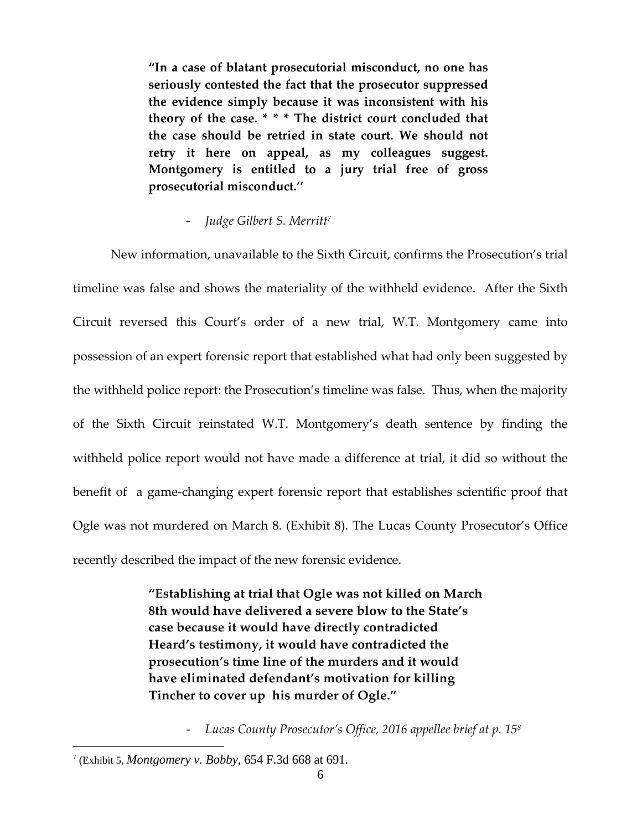**"In a case of blatant prosecutorial misconduct, no one has seriously contested the fact that the prosecutor suppressed the evidence simply because it was inconsistent with his theory of the case. \* \* \* The district court concluded that the case should be retried in state court. We should not retry it here on appeal, as my colleagues suggest. Montgomery is entitled to a jury trial free of gross prosecutorial misconduct.''**

# ‐ *Judge Gilbert S. Merritt7*

New information, unavailable to the Sixth Circuit, confirms the Prosecution's trial timeline was false and shows the materiality of the withheld evidence. After the Sixth Circuit reversed this Court's order of a new trial, W.T. Montgomery came into possession of an expert forensic report that established what had only been suggested by the withheld police report: the Prosecution's timeline was false. Thus, when the majority of the Sixth Circuit reinstated W.T. Montgomery's death sentence by finding the withheld police report would not have made a difference at trial, it did so without the benefit of a game-changing expert forensic report that establishes scientific proof that Ogle was not murdered on March 8. (Exhibit 8). The Lucas County Prosecutor's Office recently described the impact of the new forensic evidence.

> **"Establishing at trial that Ogle was not killed on March 8th would have delivered a severe blow to the State's case because it would have directly contradicted Heard's testimony, it would have contradicted the prosecution's time line of the murders and it would have eliminated defendant's motivation for killing Tincher to cover up his murder of Ogle."**

> > ‐ *Lucas County Prosecutor's Office, 2016 appellee brief at p. 158*

<sup>7</sup> (Exhibit 5, *Montgomery v. Bobby*, 654 F.3d 668 at 691.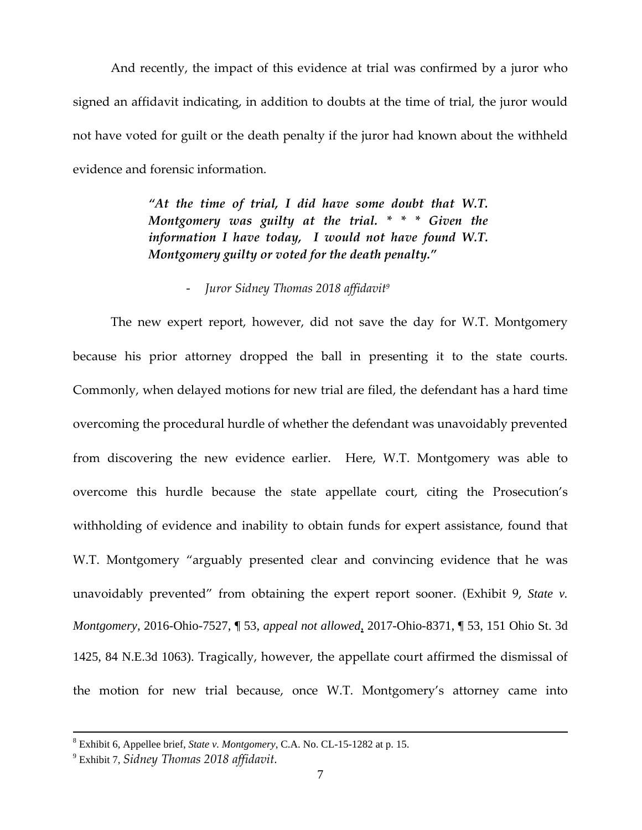And recently, the impact of this evidence at trial was confirmed by a juror who signed an affidavit indicating, in addition to doubts at the time of trial, the juror would not have voted for guilt or the death penalty if the juror had known about the withheld evidence and forensic information.

> *"At the time of trial, I did have some doubt that W.T. Montgomery was guilty at the trial. \* \* \* Given the information I have today, I would not have found W.T. Montgomery guilty or voted for the death penalty."*

# ‐ *Juror Sidney Thomas 2018 affidavit9*

The new expert report, however, did not save the day for W.T. Montgomery because his prior attorney dropped the ball in presenting it to the state courts. Commonly, when delayed motions for new trial are filed, the defendant has a hard time overcoming the procedural hurdle of whether the defendant was unavoidably prevented from discovering the new evidence earlier. Here, W.T. Montgomery was able to overcome this hurdle because the state appellate court, citing the Prosecution's withholding of evidence and inability to obtain funds for expert assistance, found that W.T. Montgomery "arguably presented clear and convincing evidence that he was unavoidably prevented" from obtaining the expert report sooner. (Exhibit 9, *State v. Montgomery,* 2016-Ohio-7527, ¶ 53, *appeal not allowed*, 2017-Ohio-8371, ¶ 53, 151 Ohio St. 3d 1425, 84 N.E.3d 1063). Tragically, however, the appellate court affirmed the dismissal of the motion for new trial because, once W.T. Montgomery's attorney came into

 $\frac{1}{8}$ Exhibit 6, Appellee brief, *State v. Montgomery*, C.A. No. CL-15-1282 at p. 15.

<sup>9</sup> Exhibit 7, *Sidney Thomas 2018 affidavit.*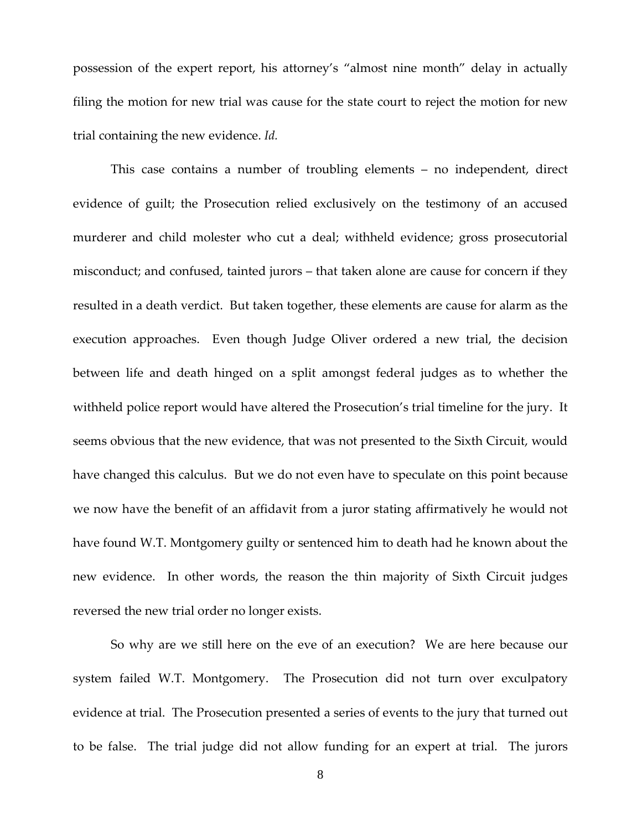possession of the expert report, his attorney's "almost nine month" delay in actually filing the motion for new trial was cause for the state court to reject the motion for new trial containing the new evidence. *Id.*

This case contains a number of troubling elements – no independent, direct evidence of guilt; the Prosecution relied exclusively on the testimony of an accused murderer and child molester who cut a deal; withheld evidence; gross prosecutorial misconduct; and confused, tainted jurors – that taken alone are cause for concern if they resulted in a death verdict. But taken together, these elements are cause for alarm as the execution approaches. Even though Judge Oliver ordered a new trial, the decision between life and death hinged on a split amongst federal judges as to whether the withheld police report would have altered the Prosecution's trial timeline for the jury. It seems obvious that the new evidence, that was not presented to the Sixth Circuit, would have changed this calculus. But we do not even have to speculate on this point because we now have the benefit of an affidavit from a juror stating affirmatively he would not have found W.T. Montgomery guilty or sentenced him to death had he known about the new evidence. In other words, the reason the thin majority of Sixth Circuit judges reversed the new trial order no longer exists.

So why are we still here on the eve of an execution? We are here because our system failed W.T. Montgomery. The Prosecution did not turn over exculpatory evidence at trial. The Prosecution presented a series of events to the jury that turned out to be false. The trial judge did not allow funding for an expert at trial. The jurors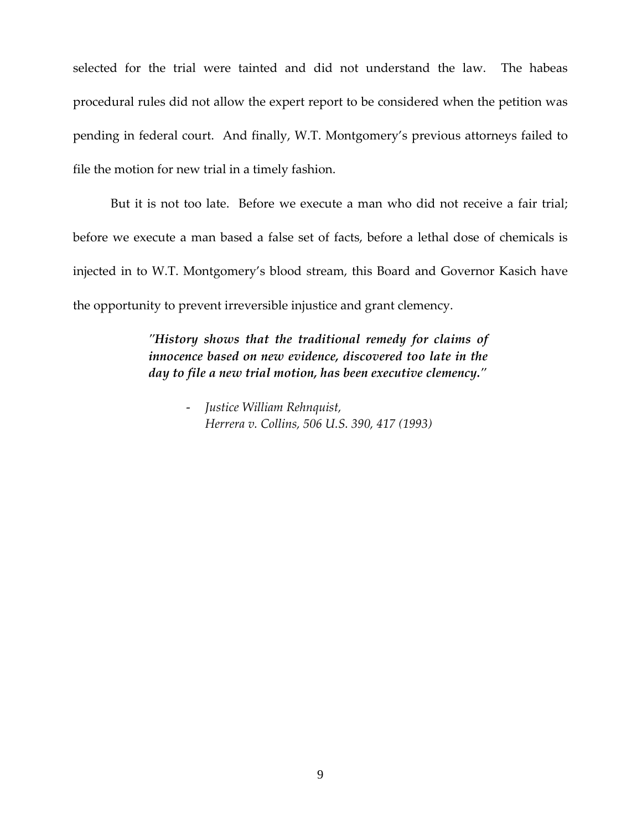selected for the trial were tainted and did not understand the law. The habeas procedural rules did not allow the expert report to be considered when the petition was pending in federal court. And finally, W.T. Montgomery's previous attorneys failed to file the motion for new trial in a timely fashion.

But it is not too late. Before we execute a man who did not receive a fair trial; before we execute a man based a false set of facts, before a lethal dose of chemicals is injected in to W.T. Montgomery's blood stream, this Board and Governor Kasich have the opportunity to prevent irreversible injustice and grant clemency.

> *ʺHistory shows that the traditional remedy for claims of innocence based on new evidence, discovered too late in the day to file a new trial motion, has been executive clemency.ʺ*

> > ‐ *Justice William Rehnquist, Herrera v. Collins, 506 U.S. 390, 417 (1993)*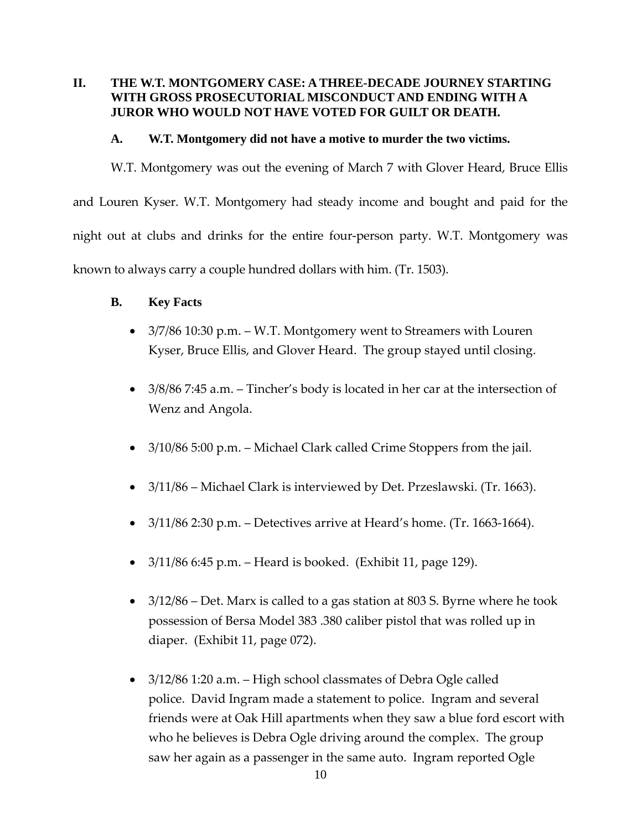# **II. THE W.T. MONTGOMERY CASE: A THREE-DECADE JOURNEY STARTING WITH GROSS PROSECUTORIAL MISCONDUCT AND ENDING WITH A JUROR WHO WOULD NOT HAVE VOTED FOR GUILT OR DEATH.**

### **A. W.T. Montgomery did not have a motive to murder the two victims.**

W.T. Montgomery was out the evening of March 7 with Glover Heard, Bruce Ellis and Louren Kyser. W.T. Montgomery had steady income and bought and paid for the night out at clubs and drinks for the entire four‐person party. W.T. Montgomery was known to always carry a couple hundred dollars with him. (Tr. 1503).

## **B. Key Facts**

- 3/7/86 10:30 p.m. W.T. Montgomery went to Streamers with Louren Kyser, Bruce Ellis, and Glover Heard. The group stayed until closing.
- 3/8/86 7:45 a.m. Tincher's body is located in her car at the intersection of Wenz and Angola.
- 3/10/86 5:00 p.m. Michael Clark called Crime Stoppers from the jail.
- 3/11/86 Michael Clark is interviewed by Det. Przeslawski. (Tr. 1663).
- $3/11/86$  2:30 p.m. Detectives arrive at Heard's home. (Tr. 1663-1664).
- $3/11/86$  6:45 p.m. Heard is booked. (Exhibit 11, page 129).
- 3/12/86 Det. Marx is called to a gas station at 803 S. Byrne where he took possession of Bersa Model 383 .380 caliber pistol that was rolled up in diaper. (Exhibit 11, page 072).
- 3/12/86 1:20 a.m. High school classmates of Debra Ogle called police. David Ingram made a statement to police. Ingram and several friends were at Oak Hill apartments when they saw a blue ford escort with who he believes is Debra Ogle driving around the complex. The group saw her again as a passenger in the same auto. Ingram reported Ogle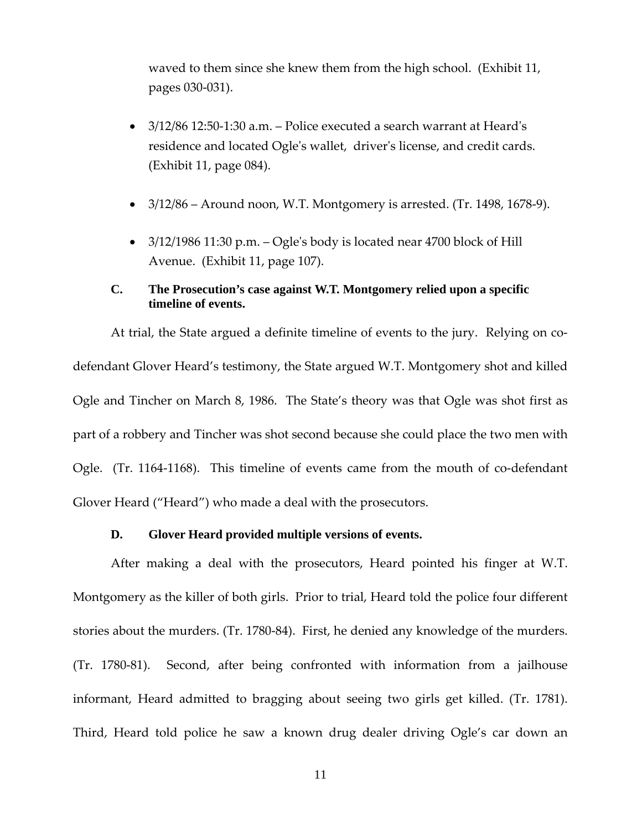waved to them since she knew them from the high school. (Exhibit 11, pages 030‐031).

- 3/12/86 12:50-1:30 a.m. Police executed a search warrant at Heard's residence and located Ogle's wallet, driver's license, and credit cards. (Exhibit 11, page 084).
- $\bullet$  3/12/86 Around noon, W.T. Montgomery is arrested. (Tr. 1498, 1678-9).
- $\bullet$  3/12/1986 11:30 p.m. Ogle's body is located near 4700 block of Hill Avenue. (Exhibit 11, page 107).

### **C. The Prosecution's case against W.T. Montgomery relied upon a specific timeline of events.**

At trial, the State argued a definite timeline of events to the jury. Relying on codefendant Glover Heard's testimony, the State argued W.T. Montgomery shot and killed Ogle and Tincher on March 8, 1986. The State's theory was that Ogle was shot first as part of a robbery and Tincher was shot second because she could place the two men with Ogle. (Tr. 1164-1168). This timeline of events came from the mouth of co-defendant Glover Heard ("Heard") who made a deal with the prosecutors.

#### **D. Glover Heard provided multiple versions of events.**

After making a deal with the prosecutors, Heard pointed his finger at W.T. Montgomery as the killer of both girls. Prior to trial, Heard told the police four different stories about the murders. (Tr. 1780‐84). First, he denied any knowledge of the murders. (Tr. 1780‐81). Second, after being confronted with information from a jailhouse informant, Heard admitted to bragging about seeing two girls get killed. (Tr. 1781). Third, Heard told police he saw a known drug dealer driving Ogle's car down an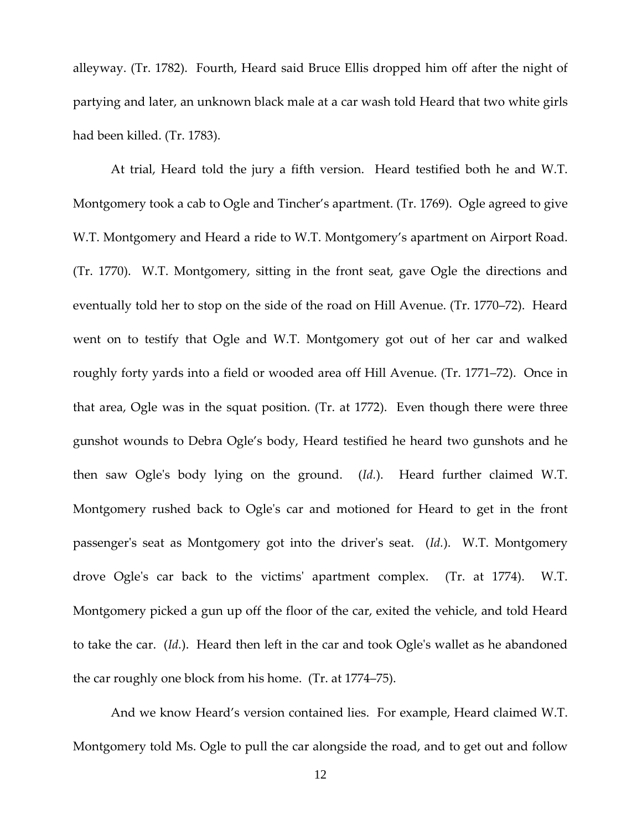alleyway. (Tr. 1782). Fourth, Heard said Bruce Ellis dropped him off after the night of partying and later, an unknown black male at a car wash told Heard that two white girls had been killed. (Tr. 1783).

At trial, Heard told the jury a fifth version. Heard testified both he and W.T. Montgomery took a cab to Ogle and Tincher's apartment. (Tr. 1769). Ogle agreed to give W.T. Montgomery and Heard a ride to W.T. Montgomery's apartment on Airport Road. (Tr. 1770). W.T. Montgomery, sitting in the front seat, gave Ogle the directions and eventually told her to stop on the side of the road on Hill Avenue. (Tr. 1770–72). Heard went on to testify that Ogle and W.T. Montgomery got out of her car and walked roughly forty yards into a field or wooded area off Hill Avenue. (Tr. 1771–72). Once in that area, Ogle was in the squat position. (Tr. at 1772). Even though there were three gunshot wounds to Debra Ogle's body, Heard testified he heard two gunshots and he then saw Ogle's body lying on the ground. (Id.). Heard further claimed W.T. Montgomery rushed back to Ogleʹs car and motioned for Heard to get in the front passenger's seat as Montgomery got into the driver's seat. (*Id.*). W.T. Montgomery drove Ogle's car back to the victims' apartment complex. (Tr. at 1774). W.T. Montgomery picked a gun up off the floor of the car, exited the vehicle, and told Heard to take the car. (*Id.*). Heard then left in the car and took Ogleʹs wallet as he abandoned the car roughly one block from his home. (Tr. at 1774–75).

And we know Heard's version contained lies. For example, Heard claimed W.T. Montgomery told Ms. Ogle to pull the car alongside the road, and to get out and follow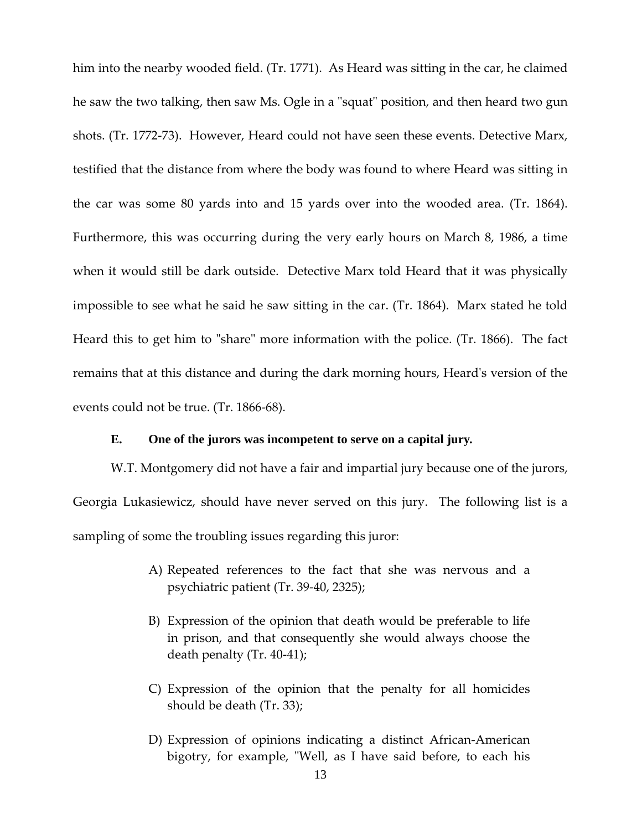him into the nearby wooded field. (Tr. 1771). As Heard was sitting in the car, he claimed he saw the two talking, then saw Ms. Ogle in a "squat" position, and then heard two gun shots. (Tr. 1772‐73). However, Heard could not have seen these events. Detective Marx, testified that the distance from where the body was found to where Heard was sitting in the car was some 80 yards into and 15 yards over into the wooded area. (Tr. 1864). Furthermore, this was occurring during the very early hours on March 8, 1986, a time when it would still be dark outside. Detective Marx told Heard that it was physically impossible to see what he said he saw sitting in the car. (Tr. 1864). Marx stated he told Heard this to get him to "share" more information with the police. (Tr. 1866). The fact remains that at this distance and during the dark morning hours, Heardʹs version of the events could not be true. (Tr. 1866‐68).

#### **E. One of the jurors was incompetent to serve on a capital jury.**

W.T. Montgomery did not have a fair and impartial jury because one of the jurors, Georgia Lukasiewicz, should have never served on this jury. The following list is a sampling of some the troubling issues regarding this juror:

- A) Repeated references to the fact that she was nervous and a psychiatric patient (Tr. 39‐40, 2325);
- B) Expression of the opinion that death would be preferable to life in prison, and that consequently she would always choose the death penalty (Tr. 40‐41);
- C) Expression of the opinion that the penalty for all homicides should be death (Tr. 33);
- D) Expression of opinions indicating a distinct African‐American bigotry, for example, "Well, as I have said before, to each his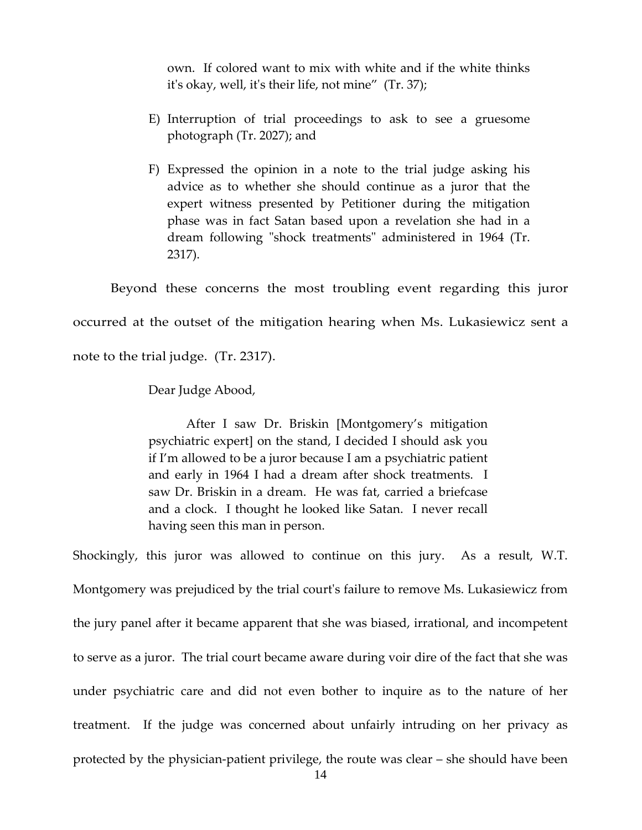own. If colored want to mix with white and if the white thinks itʹs okay, well, itʹs their life, not mine" (Tr. 37);

- E) Interruption of trial proceedings to ask to see a gruesome photograph (Tr. 2027); and
- F) Expressed the opinion in a note to the trial judge asking his advice as to whether she should continue as a juror that the expert witness presented by Petitioner during the mitigation phase was in fact Satan based upon a revelation she had in a dream following "shock treatments" administered in 1964 (Tr. 2317).

Beyond these concerns the most troubling event regarding this juror occurred at the outset of the mitigation hearing when Ms. Lukasiewicz sent a note to the trial judge. (Tr. 2317).

Dear Judge Abood,

After I saw Dr. Briskin [Montgomery's mitigation psychiatric expert] on the stand, I decided I should ask you if I'm allowed to be a juror because I am a psychiatric patient and early in 1964 I had a dream after shock treatments. I saw Dr. Briskin in a dream. He was fat, carried a briefcase and a clock. I thought he looked like Satan. I never recall having seen this man in person.

Shockingly, this juror was allowed to continue on this jury. As a result, W.T. Montgomery was prejudiced by the trial court's failure to remove Ms. Lukasiewicz from the jury panel after it became apparent that she was biased, irrational, and incompetent to serve as a juror. The trial court became aware during voir dire of the fact that she was under psychiatric care and did not even bother to inquire as to the nature of her treatment. If the judge was concerned about unfairly intruding on her privacy as protected by the physician‐patient privilege, the route was clear – she should have been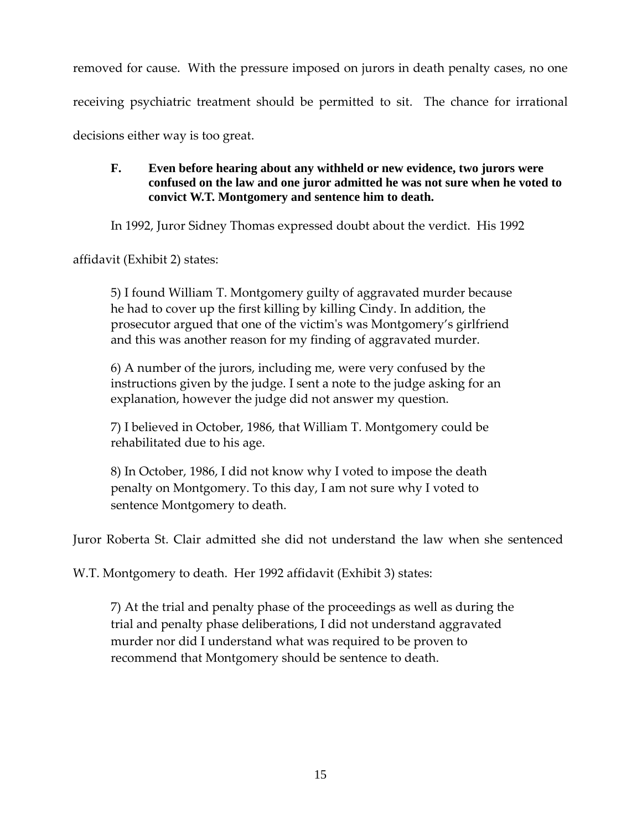removed for cause. With the pressure imposed on jurors in death penalty cases, no one receiving psychiatric treatment should be permitted to sit. The chance for irrational decisions either way is too great.

# **F. Even before hearing about any withheld or new evidence, two jurors were confused on the law and one juror admitted he was not sure when he voted to convict W.T. Montgomery and sentence him to death.**

In 1992, Juror Sidney Thomas expressed doubt about the verdict. His 1992

affidavit (Exhibit 2) states:

5) I found William T. Montgomery guilty of aggravated murder because he had to cover up the first killing by killing Cindy. In addition, the prosecutor argued that one of the victimʹs was Montgomery's girlfriend and this was another reason for my finding of aggravated murder.

6) A number of the jurors, including me, were very confused by the instructions given by the judge. I sent a note to the judge asking for an explanation, however the judge did not answer my question.

7) I believed in October, 1986, that William T. Montgomery could be rehabilitated due to his age.

8) In October, 1986, I did not know why I voted to impose the death penalty on Montgomery. To this day, I am not sure why I voted to sentence Montgomery to death.

Juror Roberta St. Clair admitted she did not understand the law when she sentenced

W.T. Montgomery to death. Her 1992 affidavit (Exhibit 3) states:

7) At the trial and penalty phase of the proceedings as well as during the trial and penalty phase deliberations, I did not understand aggravated murder nor did I understand what was required to be proven to recommend that Montgomery should be sentence to death.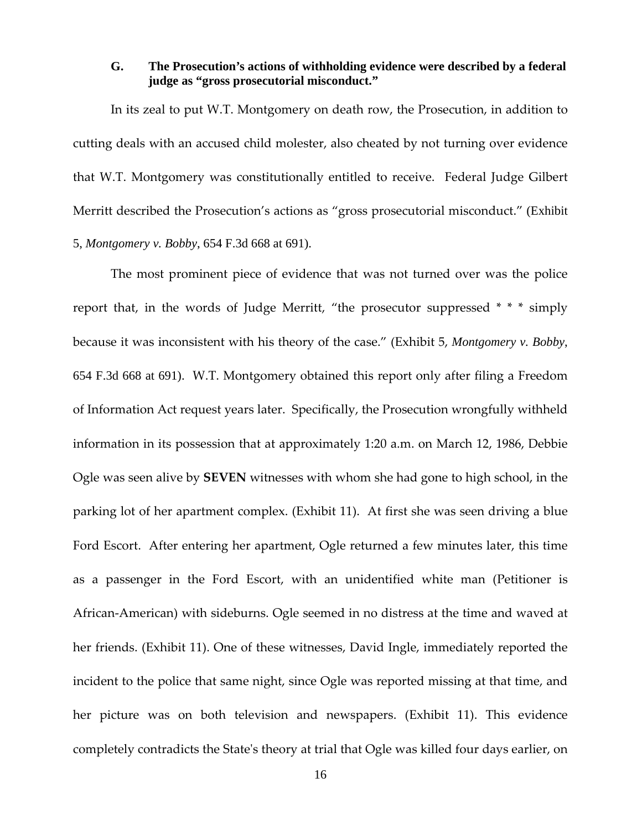# **G. The Prosecution's actions of withholding evidence were described by a federal judge as "gross prosecutorial misconduct."**

In its zeal to put W.T. Montgomery on death row, the Prosecution, in addition to cutting deals with an accused child molester, also cheated by not turning over evidence that W.T. Montgomery was constitutionally entitled to receive. Federal Judge Gilbert Merritt described the Prosecution's actions as "gross prosecutorial misconduct." (Exhibit 5, *Montgomery v. Bobby*, 654 F.3d 668 at 691).

The most prominent piece of evidence that was not turned over was the police report that, in the words of Judge Merritt, "the prosecutor suppressed \* \* \* simply because it was inconsistent with his theory of the case." (Exhibit 5, *Montgomery v. Bobby*, 654 F.3d 668 at 691). W.T. Montgomery obtained this report only after filing a Freedom of Information Act request years later. Specifically, the Prosecution wrongfully withheld information in its possession that at approximately 1:20 a.m. on March 12, 1986, Debbie Ogle was seen alive by **SEVEN** witnesses with whom she had gone to high school, in the parking lot of her apartment complex. (Exhibit 11). At first she was seen driving a blue Ford Escort. After entering her apartment, Ogle returned a few minutes later, this time as a passenger in the Ford Escort, with an unidentified white man (Petitioner is African‐American) with sideburns. Ogle seemed in no distress at the time and waved at her friends. (Exhibit 11). One of these witnesses, David Ingle, immediately reported the incident to the police that same night, since Ogle was reported missing at that time, and her picture was on both television and newspapers. (Exhibit 11). This evidence completely contradicts the Stateʹs theory at trial that Ogle was killed four days earlier, on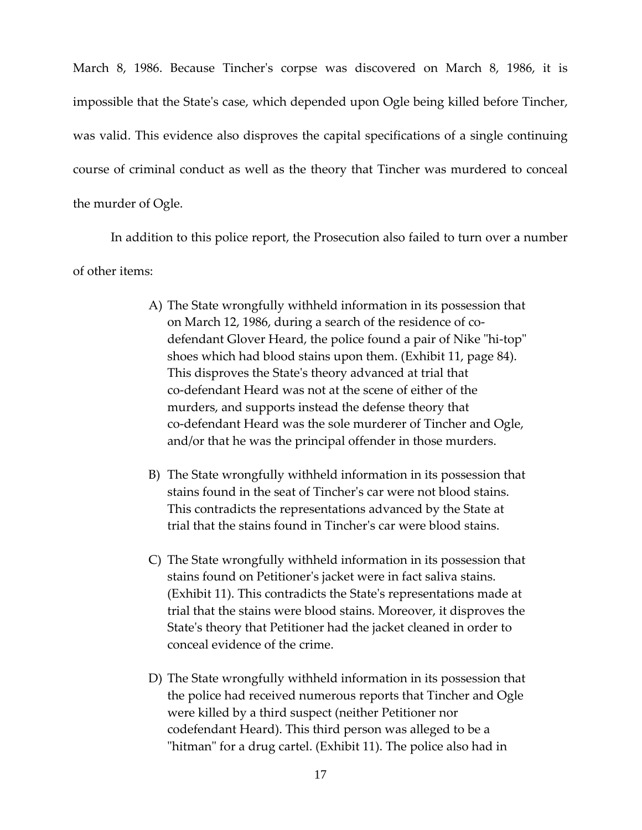March 8, 1986. Because Tincherʹs corpse was discovered on March 8, 1986, it is impossible that the Stateʹs case, which depended upon Ogle being killed before Tincher, was valid. This evidence also disproves the capital specifications of a single continuing course of criminal conduct as well as the theory that Tincher was murdered to conceal the murder of Ogle.

In addition to this police report, the Prosecution also failed to turn over a number of other items:

- A) The State wrongfully withheld information in its possession that on March 12, 1986, during a search of the residence of co‐ defendant Glover Heard, the police found a pair of Nike "hi-top" shoes which had blood stains upon them. (Exhibit 11, page 84). This disproves the Stateʹs theory advanced at trial that co‐defendant Heard was not at the scene of either of the murders, and supports instead the defense theory that co‐defendant Heard was the sole murderer of Tincher and Ogle, and/or that he was the principal offender in those murders.
- B) The State wrongfully withheld information in its possession that stains found in the seat of Tincherʹs car were not blood stains. This contradicts the representations advanced by the State at trial that the stains found in Tincherʹs car were blood stains.
- C) The State wrongfully withheld information in its possession that stains found on Petitionerʹs jacket were in fact saliva stains. (Exhibit 11). This contradicts the Stateʹs representations made at trial that the stains were blood stains. Moreover, it disproves the Stateʹs theory that Petitioner had the jacket cleaned in order to conceal evidence of the crime.
- D) The State wrongfully withheld information in its possession that the police had received numerous reports that Tincher and Ogle were killed by a third suspect (neither Petitioner nor codefendant Heard). This third person was alleged to be a "hitman" for a drug cartel. (Exhibit 11). The police also had in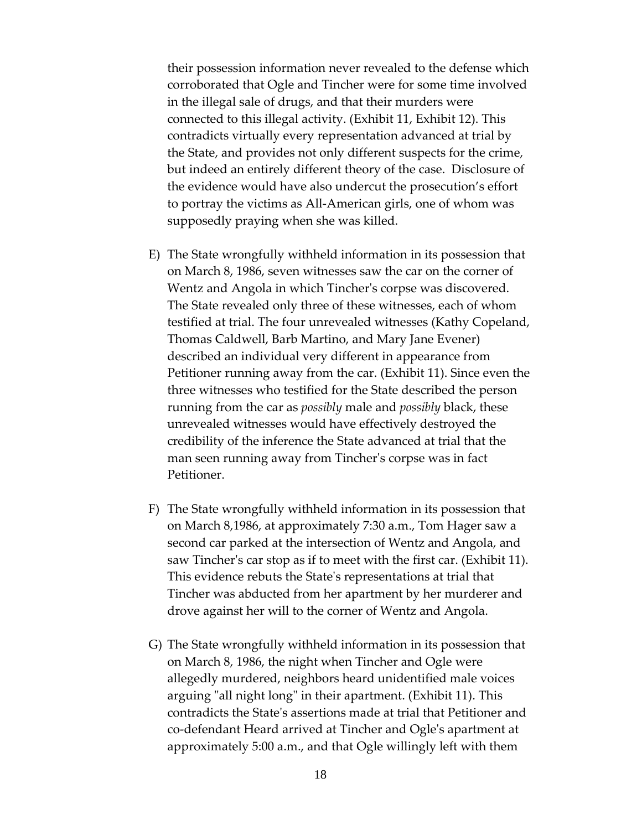their possession information never revealed to the defense which corroborated that Ogle and Tincher were for some time involved in the illegal sale of drugs, and that their murders were connected to this illegal activity. (Exhibit 11, Exhibit 12). This contradicts virtually every representation advanced at trial by the State, and provides not only different suspects for the crime, but indeed an entirely different theory of the case. Disclosure of the evidence would have also undercut the prosecution's effort to portray the victims as All‐American girls, one of whom was supposedly praying when she was killed.

- E) The State wrongfully withheld information in its possession that on March 8, 1986, seven witnesses saw the car on the corner of Wentz and Angola in which Tincher's corpse was discovered. The State revealed only three of these witnesses, each of whom testified at trial. The four unrevealed witnesses (Kathy Copeland, Thomas Caldwell, Barb Martino, and Mary Jane Evener) described an individual very different in appearance from Petitioner running away from the car. (Exhibit 11). Since even the three witnesses who testified for the State described the person running from the car as *possibly* male and *possibly* black, these unrevealed witnesses would have effectively destroyed the credibility of the inference the State advanced at trial that the man seen running away from Tincherʹs corpse was in fact Petitioner.
- F) The State wrongfully withheld information in its possession that on March 8,1986, at approximately 7:30 a.m., Tom Hager saw a second car parked at the intersection of Wentz and Angola, and saw Tincher's car stop as if to meet with the first car. (Exhibit 11). This evidence rebuts the Stateʹs representations at trial that Tincher was abducted from her apartment by her murderer and drove against her will to the corner of Wentz and Angola.
- G) The State wrongfully withheld information in its possession that on March 8, 1986, the night when Tincher and Ogle were allegedly murdered, neighbors heard unidentified male voices arguing "all night long" in their apartment. (Exhibit 11). This contradicts the Stateʹs assertions made at trial that Petitioner and co‐defendant Heard arrived at Tincher and Ogleʹs apartment at approximately 5:00 a.m., and that Ogle willingly left with them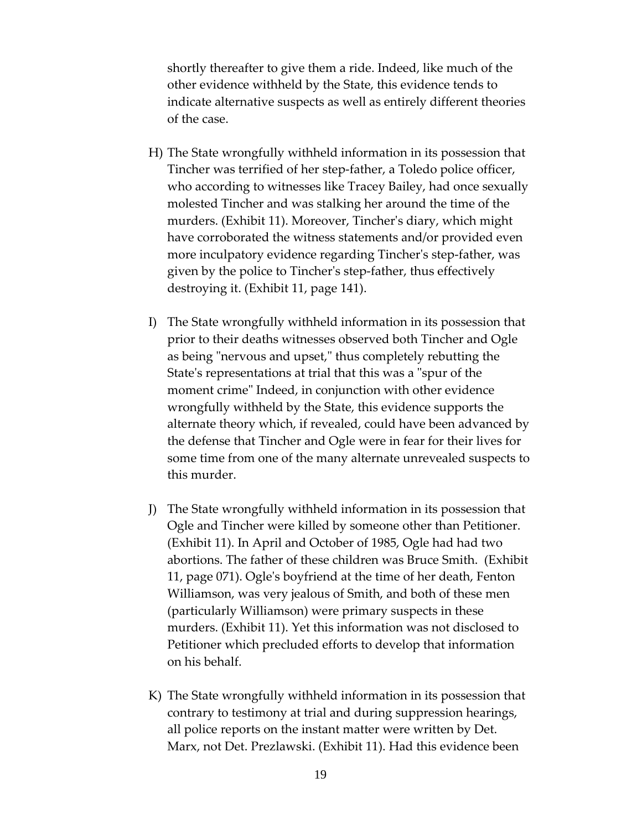shortly thereafter to give them a ride. Indeed, like much of the other evidence withheld by the State, this evidence tends to indicate alternative suspects as well as entirely different theories of the case.

- H) The State wrongfully withheld information in its possession that Tincher was terrified of her step‐father, a Toledo police officer, who according to witnesses like Tracey Bailey, had once sexually molested Tincher and was stalking her around the time of the murders. (Exhibit 11). Moreover, Tincherʹs diary, which might have corroborated the witness statements and/or provided even more inculpatory evidence regarding Tincher's step-father, was given by the police to Tincherʹs step‐father, thus effectively destroying it. (Exhibit 11, page 141).
- I) The State wrongfully withheld information in its possession that prior to their deaths witnesses observed both Tincher and Ogle as being "nervous and upset," thus completely rebutting the State's representations at trial that this was a "spur of the moment crime" Indeed, in conjunction with other evidence wrongfully withheld by the State, this evidence supports the alternate theory which, if revealed, could have been advanced by the defense that Tincher and Ogle were in fear for their lives for some time from one of the many alternate unrevealed suspects to this murder.
- J) The State wrongfully withheld information in its possession that Ogle and Tincher were killed by someone other than Petitioner. (Exhibit 11). In April and October of 1985, Ogle had had two abortions. The father of these children was Bruce Smith. (Exhibit 11, page 071). Ogleʹs boyfriend at the time of her death, Fenton Williamson, was very jealous of Smith, and both of these men (particularly Williamson) were primary suspects in these murders. (Exhibit 11). Yet this information was not disclosed to Petitioner which precluded efforts to develop that information on his behalf.
- K) The State wrongfully withheld information in its possession that contrary to testimony at trial and during suppression hearings, all police reports on the instant matter were written by Det. Marx, not Det. Prezlawski. (Exhibit 11). Had this evidence been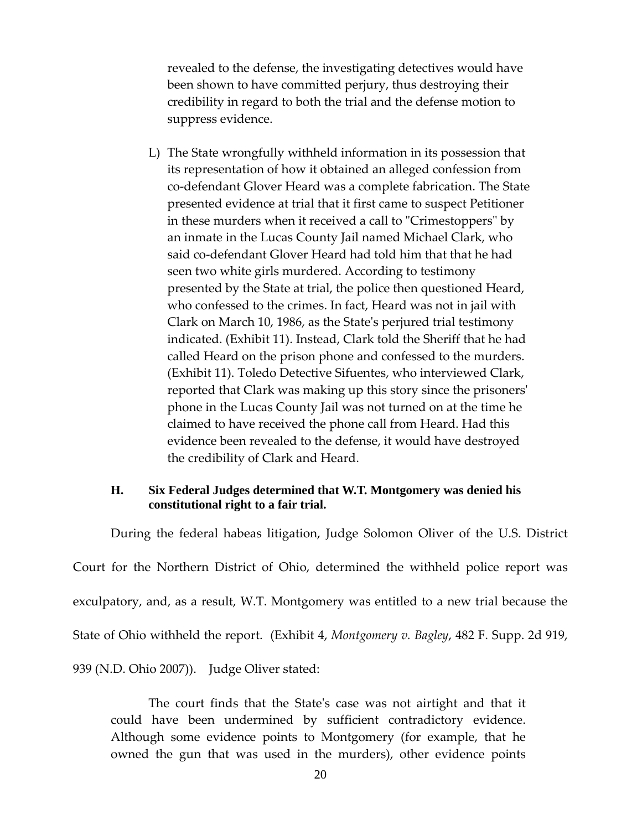revealed to the defense, the investigating detectives would have been shown to have committed perjury, thus destroying their credibility in regard to both the trial and the defense motion to suppress evidence.

L) The State wrongfully withheld information in its possession that its representation of how it obtained an alleged confession from co‐defendant Glover Heard was a complete fabrication. The State presented evidence at trial that it first came to suspect Petitioner in these murders when it received a call to "Crimestoppers" by an inmate in the Lucas County Jail named Michael Clark, who said co-defendant Glover Heard had told him that that he had seen two white girls murdered. According to testimony presented by the State at trial, the police then questioned Heard, who confessed to the crimes. In fact, Heard was not in jail with Clark on March 10, 1986, as the Stateʹs perjured trial testimony indicated. (Exhibit 11). Instead, Clark told the Sheriff that he had called Heard on the prison phone and confessed to the murders. (Exhibit 11). Toledo Detective Sifuentes, who interviewed Clark, reported that Clark was making up this story since the prisonersʹ phone in the Lucas County Jail was not turned on at the time he claimed to have received the phone call from Heard. Had this evidence been revealed to the defense, it would have destroyed the credibility of Clark and Heard.

# **H. Six Federal Judges determined that W.T. Montgomery was denied his constitutional right to a fair trial.**

During the federal habeas litigation, Judge Solomon Oliver of the U.S. District Court for the Northern District of Ohio, determined the withheld police report was exculpatory, and, as a result, W.T. Montgomery was entitled to a new trial because the State of Ohio withheld the report. (Exhibit 4, *Montgomery v. Bagley*, 482 F. Supp. 2d 919, 939 (N.D. Ohio 2007)). Judge Oliver stated:

The court finds that the Stateʹs case was not airtight and that it could have been undermined by sufficient contradictory evidence. Although some evidence points to Montgomery (for example, that he owned the gun that was used in the murders), other evidence points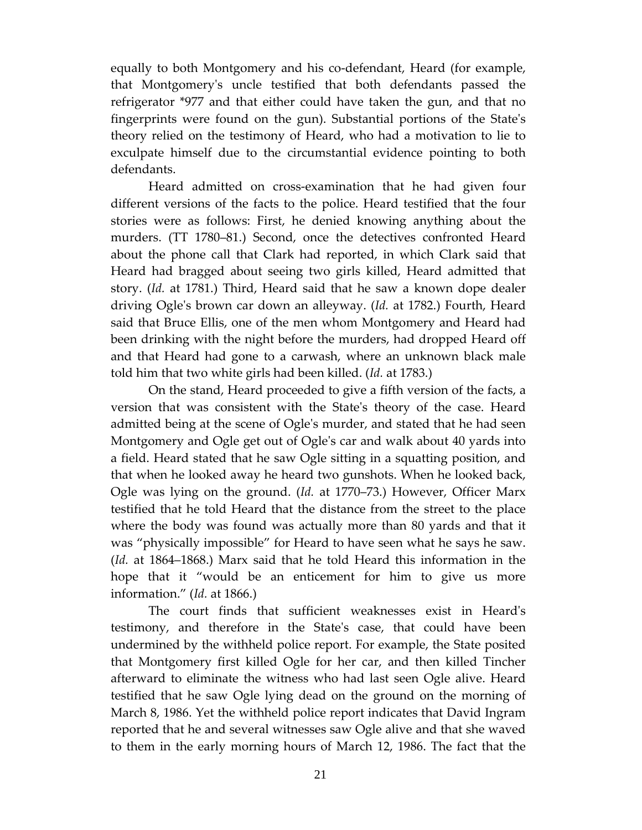equally to both Montgomery and his co-defendant, Heard (for example, that Montgomeryʹs uncle testified that both defendants passed the refrigerator \*977 and that either could have taken the gun, and that no fingerprints were found on the gun). Substantial portions of the Stateʹs theory relied on the testimony of Heard, who had a motivation to lie to exculpate himself due to the circumstantial evidence pointing to both defendants.

Heard admitted on cross-examination that he had given four different versions of the facts to the police. Heard testified that the four stories were as follows: First, he denied knowing anything about the murders. (TT 1780–81.) Second, once the detectives confronted Heard about the phone call that Clark had reported, in which Clark said that Heard had bragged about seeing two girls killed, Heard admitted that story. (*Id.* at 1781.) Third, Heard said that he saw a known dope dealer driving Ogleʹs brown car down an alleyway. (*Id.* at 1782.) Fourth, Heard said that Bruce Ellis, one of the men whom Montgomery and Heard had been drinking with the night before the murders, had dropped Heard off and that Heard had gone to a carwash, where an unknown black male told him that two white girls had been killed. (*Id.* at 1783.)

On the stand, Heard proceeded to give a fifth version of the facts, a version that was consistent with the Stateʹs theory of the case. Heard admitted being at the scene of Ogleʹs murder, and stated that he had seen Montgomery and Ogle get out of Ogleʹs car and walk about 40 yards into a field. Heard stated that he saw Ogle sitting in a squatting position, and that when he looked away he heard two gunshots. When he looked back, Ogle was lying on the ground. (*Id.* at 1770–73.) However, Officer Marx testified that he told Heard that the distance from the street to the place where the body was found was actually more than 80 yards and that it was "physically impossible" for Heard to have seen what he says he saw. (*Id.* at 1864–1868.) Marx said that he told Heard this information in the hope that it "would be an enticement for him to give us more information." (*Id.* at 1866.)

The court finds that sufficient weaknesses exist in Heardʹs testimony, and therefore in the Stateʹs case, that could have been undermined by the withheld police report. For example, the State posited that Montgomery first killed Ogle for her car, and then killed Tincher afterward to eliminate the witness who had last seen Ogle alive. Heard testified that he saw Ogle lying dead on the ground on the morning of March 8, 1986. Yet the withheld police report indicates that David Ingram reported that he and several witnesses saw Ogle alive and that she waved to them in the early morning hours of March 12, 1986. The fact that the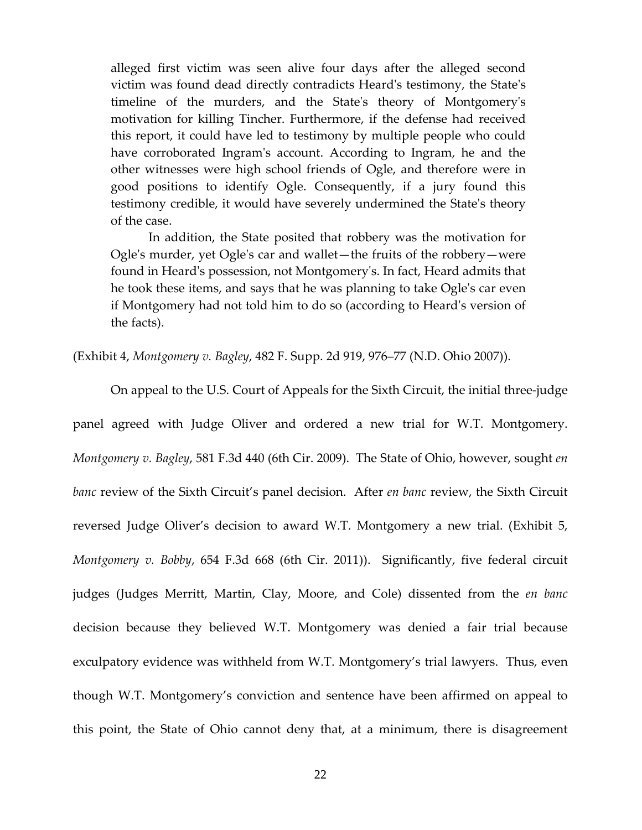alleged first victim was seen alive four days after the alleged second victim was found dead directly contradicts Heardʹs testimony, the Stateʹs timeline of the murders, and the Stateʹs theory of Montgomeryʹs motivation for killing Tincher. Furthermore, if the defense had received this report, it could have led to testimony by multiple people who could have corroborated Ingram's account. According to Ingram, he and the other witnesses were high school friends of Ogle, and therefore were in good positions to identify Ogle. Consequently, if a jury found this testimony credible, it would have severely undermined the Stateʹs theory of the case.

In addition, the State posited that robbery was the motivation for Ogleʹs murder, yet Ogleʹs car and wallet—the fruits of the robbery—were found in Heardʹs possession, not Montgomeryʹs. In fact, Heard admits that he took these items, and says that he was planning to take Ogleʹs car even if Montgomery had not told him to do so (according to Heardʹs version of the facts).

(Exhibit 4, *Montgomery v. Bagley*, 482 F. Supp. 2d 919, 976–77 (N.D. Ohio 2007)).

On appeal to the U.S. Court of Appeals for the Sixth Circuit, the initial three‐judge panel agreed with Judge Oliver and ordered a new trial for W.T. Montgomery. *Montgomery v. Bagley*, 581 F.3d 440 (6th Cir. 2009). The State of Ohio, however, sought *en banc* review of the Sixth Circuit's panel decision. After *en banc* review, the Sixth Circuit reversed Judge Oliver's decision to award W.T. Montgomery a new trial. (Exhibit 5, *Montgomery v. Bobby*, 654 F.3d 668 (6th Cir. 2011)). Significantly, five federal circuit judges (Judges Merritt, Martin, Clay, Moore, and Cole) dissented from the *en banc* decision because they believed W.T. Montgomery was denied a fair trial because exculpatory evidence was withheld from W.T. Montgomery's trial lawyers. Thus, even though W.T. Montgomery's conviction and sentence have been affirmed on appeal to this point, the State of Ohio cannot deny that, at a minimum, there is disagreement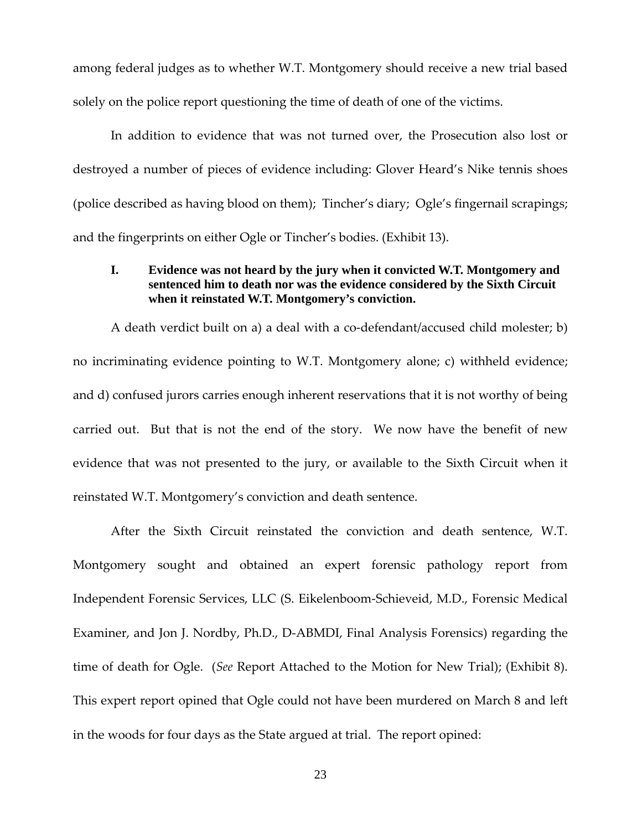among federal judges as to whether W.T. Montgomery should receive a new trial based solely on the police report questioning the time of death of one of the victims.

In addition to evidence that was not turned over, the Prosecution also lost or destroyed a number of pieces of evidence including: Glover Heard's Nike tennis shoes (police described as having blood on them); Tincher's diary; Ogle's fingernail scrapings; and the fingerprints on either Ogle or Tincher's bodies. (Exhibit 13).

# **I. Evidence was not heard by the jury when it convicted W.T. Montgomery and sentenced him to death nor was the evidence considered by the Sixth Circuit when it reinstated W.T. Montgomery's conviction.**

A death verdict built on a) a deal with a co-defendant/accused child molester; b) no incriminating evidence pointing to W.T. Montgomery alone; c) withheld evidence; and d) confused jurors carries enough inherent reservations that it is not worthy of being carried out. But that is not the end of the story. We now have the benefit of new evidence that was not presented to the jury, or available to the Sixth Circuit when it reinstated W.T. Montgomery's conviction and death sentence.

After the Sixth Circuit reinstated the conviction and death sentence, W.T. Montgomery sought and obtained an expert forensic pathology report from Independent Forensic Services, LLC (S. Eikelenboom‐Schieveid, M.D., Forensic Medical Examiner, and Jon J. Nordby, Ph.D., D‐ABMDI, Final Analysis Forensics) regarding the time of death for Ogle. (*See* Report Attached to the Motion for New Trial); (Exhibit 8). This expert report opined that Ogle could not have been murdered on March 8 and left in the woods for four days as the State argued at trial. The report opined: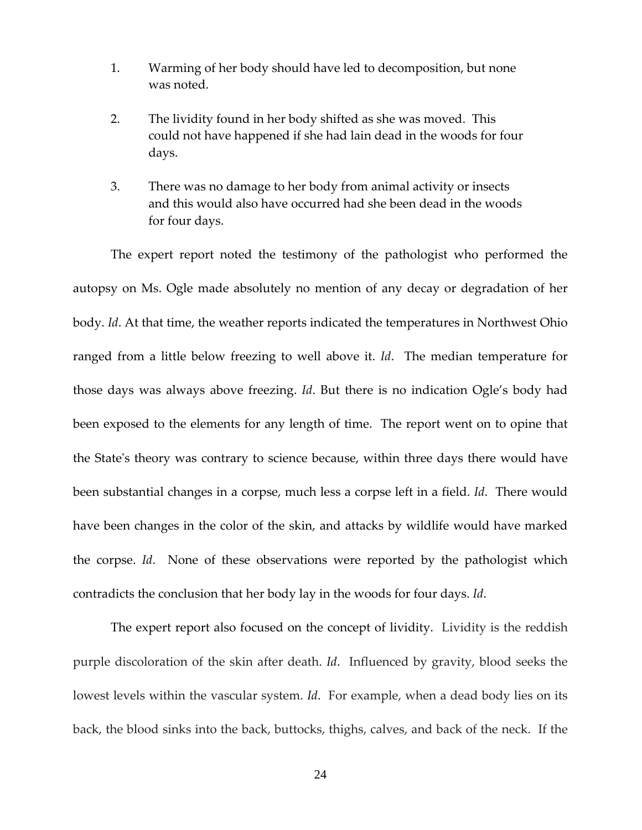- 1. Warming of her body should have led to decomposition, but none was noted.
- 2. The lividity found in her body shifted as she was moved. This could not have happened if she had lain dead in the woods for four days.
- 3. There was no damage to her body from animal activity or insects and this would also have occurred had she been dead in the woods for four days.

The expert report noted the testimony of the pathologist who performed the autopsy on Ms. Ogle made absolutely no mention of any decay or degradation of her body. *Id*. At that time, the weather reports indicated the temperatures in Northwest Ohio ranged from a little below freezing to well above it. *Id*. The median temperature for those days was always above freezing. *Id*. But there is no indication Ogle's body had been exposed to the elements for any length of time. The report went on to opine that the Stateʹs theory was contrary to science because, within three days there would have been substantial changes in a corpse, much less a corpse left in a field. *Id*. There would have been changes in the color of the skin, and attacks by wildlife would have marked the corpse. *Id*. None of these observations were reported by the pathologist which contradicts the conclusion that her body lay in the woods for four days. *Id*.

The expert report also focused on the concept of lividity. Lividity is the reddish purple discoloration of the skin after death. *Id*. Influenced by gravity, blood seeks the lowest levels within the vascular system. *Id*. For example, when a dead body lies on its back, the blood sinks into the back, buttocks, thighs, calves, and back of the neck. If the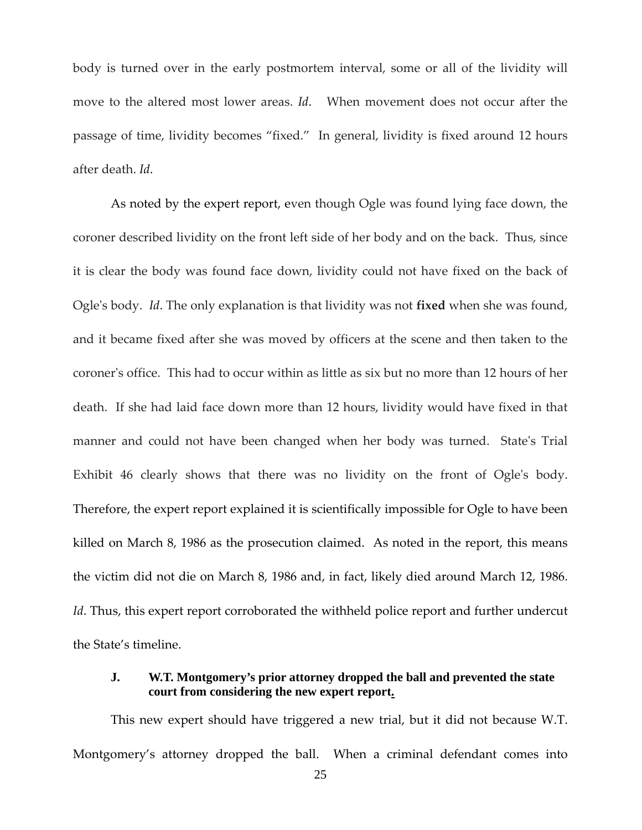body is turned over in the early postmortem interval, some or all of the lividity will move to the altered most lower areas. *Id*. When movement does not occur after the passage of time, lividity becomes "fixed." In general, lividity is fixed around 12 hours after death. *Id*.

As noted by the expert report, even though Ogle was found lying face down, the coroner described lividity on the front left side of her body and on the back. Thus, since it is clear the body was found face down, lividity could not have fixed on the back of Ogleʹs body. *Id*. The only explanation is that lividity was not **fixed** when she was found, and it became fixed after she was moved by officers at the scene and then taken to the coronerʹs office. This had to occur within as little as six but no more than 12 hours of her death. If she had laid face down more than 12 hours, lividity would have fixed in that manner and could not have been changed when her body was turned. State's Trial Exhibit 46 clearly shows that there was no lividity on the front of Ogle's body. Therefore, the expert report explained it is scientifically impossible for Ogle to have been killed on March 8, 1986 as the prosecution claimed. As noted in the report, this means the victim did not die on March 8, 1986 and, in fact, likely died around March 12, 1986. *Id*. Thus, this expert report corroborated the withheld police report and further undercut the State's timeline.

# **J. W.T. Montgomery's prior attorney dropped the ball and prevented the state court from considering the new expert report.**

This new expert should have triggered a new trial, but it did not because W.T. Montgomery's attorney dropped the ball. When a criminal defendant comes into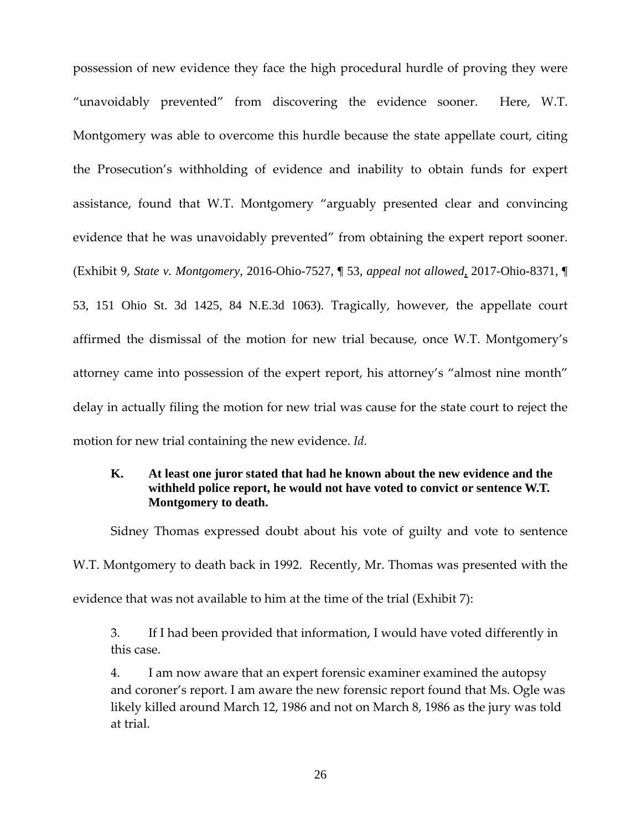possession of new evidence they face the high procedural hurdle of proving they were "unavoidably prevented" from discovering the evidence sooner. Here, W.T. Montgomery was able to overcome this hurdle because the state appellate court, citing the Prosecution's withholding of evidence and inability to obtain funds for expert assistance, found that W.T. Montgomery "arguably presented clear and convincing evidence that he was unavoidably prevented" from obtaining the expert report sooner. (Exhibit 9, *State v. Montgomery,* 2016-Ohio-7527, ¶ 53, *appeal not allowed*, 2017-Ohio-8371, ¶ 53, 151 Ohio St. 3d 1425, 84 N.E.3d 1063). Tragically, however, the appellate court affirmed the dismissal of the motion for new trial because, once W.T. Montgomery's attorney came into possession of the expert report, his attorney's "almost nine month" delay in actually filing the motion for new trial was cause for the state court to reject the motion for new trial containing the new evidence. *Id.*

# **K. At least one juror stated that had he known about the new evidence and the withheld police report, he would not have voted to convict or sentence W.T. Montgomery to death.**

Sidney Thomas expressed doubt about his vote of guilty and vote to sentence W.T. Montgomery to death back in 1992. Recently, Mr. Thomas was presented with the evidence that was not available to him at the time of the trial (Exhibit 7):

3. If I had been provided that information, I would have voted differently in this case.

4. I am now aware that an expert forensic examiner examined the autopsy and coroner's report. I am aware the new forensic report found that Ms. Ogle was likely killed around March 12, 1986 and not on March 8, 1986 as the jury was told at trial.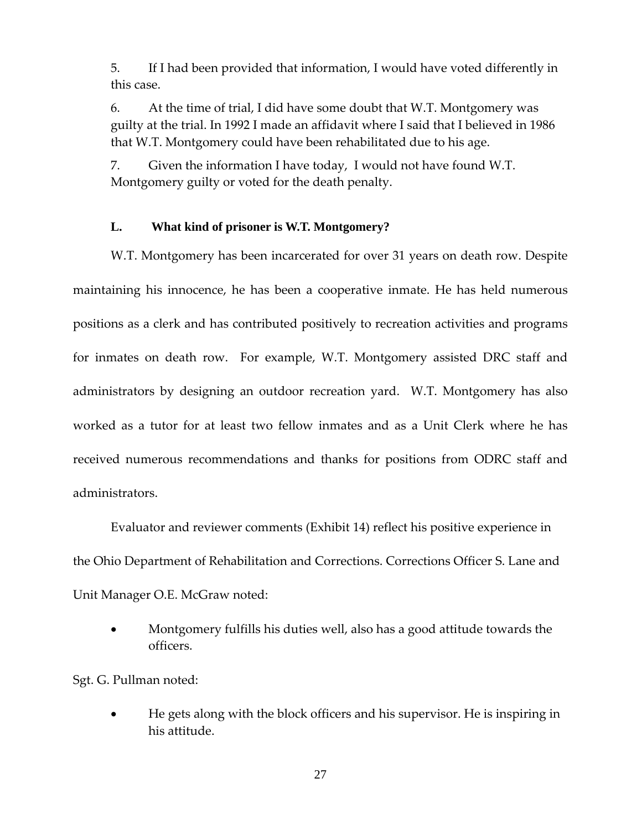5. If I had been provided that information, I would have voted differently in this case.

6. At the time of trial, I did have some doubt that W.T. Montgomery was guilty at the trial. In 1992 I made an affidavit where I said that I believed in 1986 that W.T. Montgomery could have been rehabilitated due to his age.

7. Given the information I have today, I would not have found W.T. Montgomery guilty or voted for the death penalty.

# **L. What kind of prisoner is W.T. Montgomery?**

W.T. Montgomery has been incarcerated for over 31 years on death row. Despite maintaining his innocence, he has been a cooperative inmate. He has held numerous positions as a clerk and has contributed positively to recreation activities and programs for inmates on death row. For example, W.T. Montgomery assisted DRC staff and administrators by designing an outdoor recreation yard. W.T. Montgomery has also worked as a tutor for at least two fellow inmates and as a Unit Clerk where he has received numerous recommendations and thanks for positions from ODRC staff and administrators.

Evaluator and reviewer comments (Exhibit 14) reflect his positive experience in the Ohio Department of Rehabilitation and Corrections. Corrections Officer S. Lane and Unit Manager O.E. McGraw noted:

 Montgomery fulfills his duties well, also has a good attitude towards the officers.

Sgt. G. Pullman noted:

 He gets along with the block officers and his supervisor. He is inspiring in his attitude.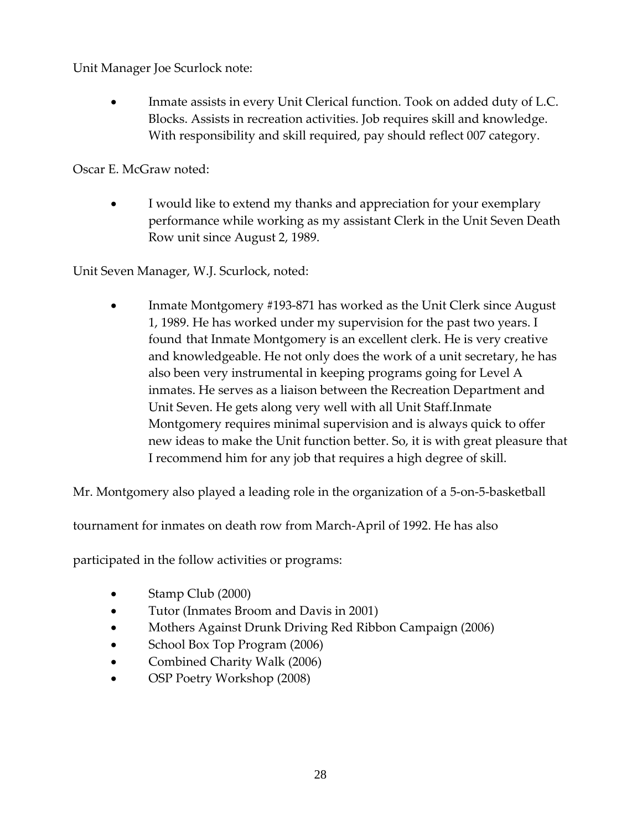Unit Manager Joe Scurlock note:

 Inmate assists in every Unit Clerical function. Took on added duty of L.C. Blocks. Assists in recreation activities. Job requires skill and knowledge. With responsibility and skill required, pay should reflect 007 category.

Oscar E. McGraw noted:

 I would like to extend my thanks and appreciation for your exemplary performance while working as my assistant Clerk in the Unit Seven Death Row unit since August 2, 1989.

Unit Seven Manager, W.J. Scurlock, noted:

 Inmate Montgomery #193‐871 has worked as the Unit Clerk since August 1, 1989. He has worked under my supervision for the past two years. I found that Inmate Montgomery is an excellent clerk. He is very creative and knowledgeable. He not only does the work of a unit secretary, he has also been very instrumental in keeping programs going for Level A inmates. He serves as a liaison between the Recreation Department and Unit Seven. He gets along very well with all Unit Staff.Inmate Montgomery requires minimal supervision and is always quick to offer new ideas to make the Unit function better. So, it is with great pleasure that I recommend him for any job that requires a high degree of skill.

Mr. Montgomery also played a leading role in the organization of a 5‐on‐5‐basketball

tournament for inmates on death row from March‐April of 1992. He has also

participated in the follow activities or programs:

- Stamp Club (2000)
- Tutor (Inmates Broom and Davis in 2001)
- Mothers Against Drunk Driving Red Ribbon Campaign (2006)
- School Box Top Program (2006)
- Combined Charity Walk (2006)
- OSP Poetry Workshop (2008)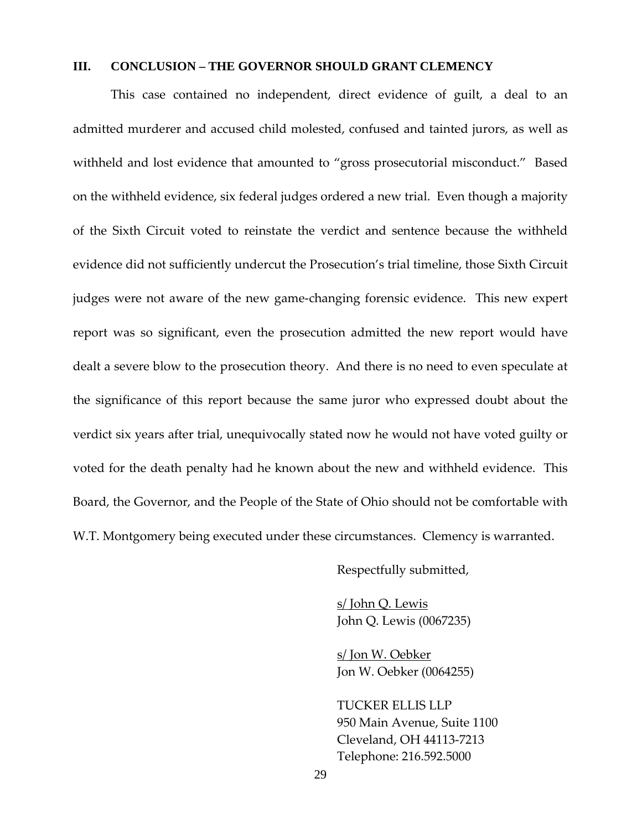### **III. CONCLUSION – THE GOVERNOR SHOULD GRANT CLEMENCY**

This case contained no independent, direct evidence of guilt, a deal to an admitted murderer and accused child molested, confused and tainted jurors, as well as withheld and lost evidence that amounted to "gross prosecutorial misconduct." Based on the withheld evidence, six federal judges ordered a new trial. Even though a majority of the Sixth Circuit voted to reinstate the verdict and sentence because the withheld evidence did not sufficiently undercut the Prosecution's trial timeline, those Sixth Circuit judges were not aware of the new game‐changing forensic evidence. This new expert report was so significant, even the prosecution admitted the new report would have dealt a severe blow to the prosecution theory. And there is no need to even speculate at the significance of this report because the same juror who expressed doubt about the verdict six years after trial, unequivocally stated now he would not have voted guilty or voted for the death penalty had he known about the new and withheld evidence. This Board, the Governor, and the People of the State of Ohio should not be comfortable with W.T. Montgomery being executed under these circumstances. Clemency is warranted.

Respectfully submitted,

s/ John Q. Lewis John Q. Lewis (0067235)

s/ Jon W. Oebker Jon W. Oebker (0064255)

TUCKER ELLIS LLP 950 Main Avenue, Suite 1100 Cleveland, OH 44113‐7213 Telephone: 216.592.5000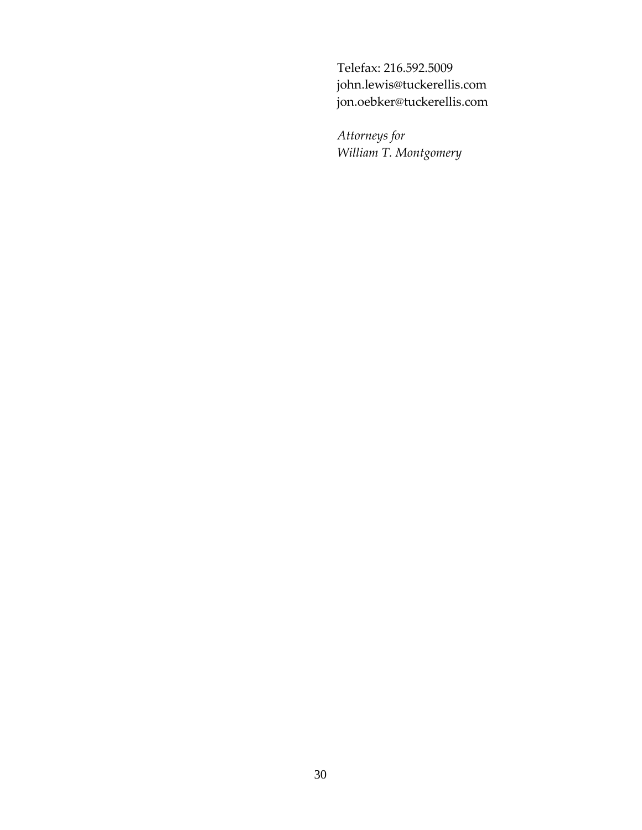Telefax: 216.592.5009 john.lewis@tuckerellis.com jon.oebker@tuckerellis.com

*Attorneys for William T. Montgomery*